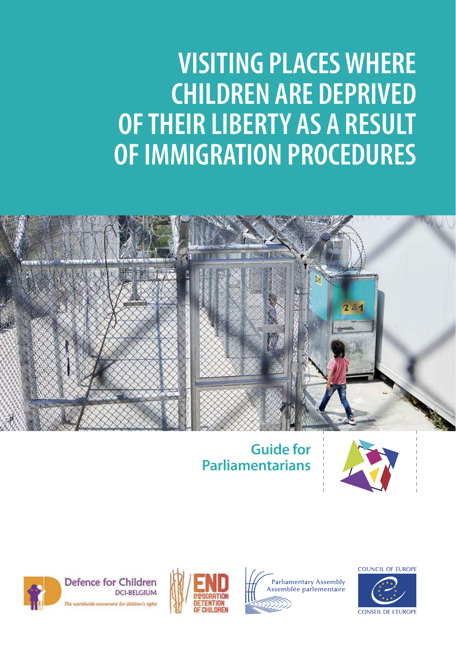## **VISITING PLACES WHERE CHILDREN ARE DEPRIVED OF THEIR LIBERTY AS A RESULT OF IMMIGRATION PROCEDURES**



#### **Guide for Parliamentarians**





Defence for Children **DCI-BELGIUM** thuide movement for children's debt





COUNCIL OF FUROPE

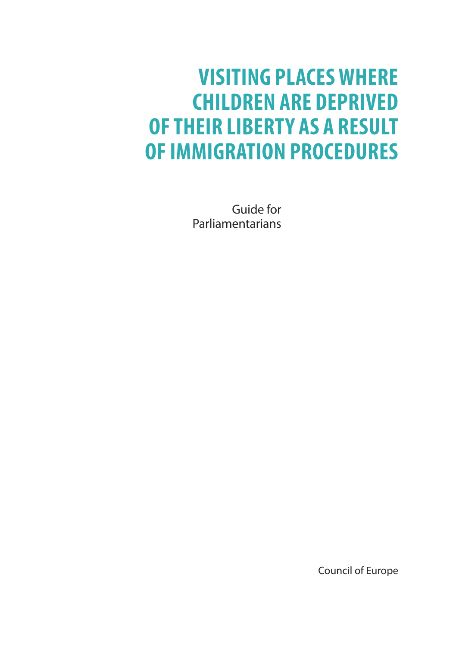### **VISITING PLACES WHERE CHILDREN ARE DEPRIVED OF THEIR LIBERTY AS A RESULT OF IMMIGRATION PROCEDURES**

Guide for Parliamentarians

Council of Europe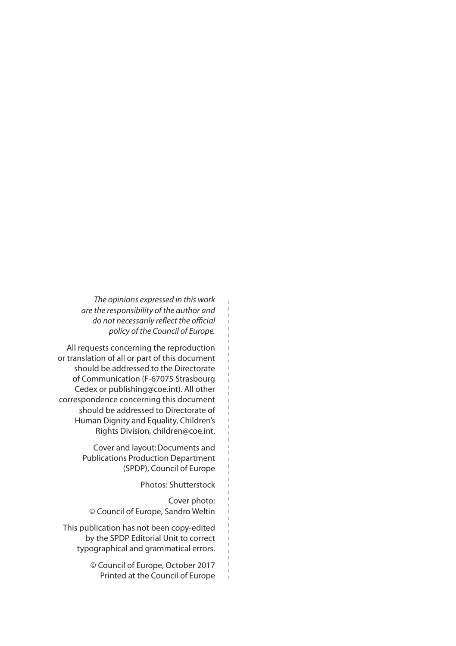*The opinions expressed in this work are the responsibility of the author and do not necessarily reflect the official policy of the Council of Europe.* 

All requests concerning the reproduction or translation of all or part of this document should be addressed to the Directorate of Communication (F-67075 Strasbourg Cedex or publishing@coe.int). All other correspondence concerning this document should be addressed to Directorate of Human Dignity and Equality, Children's Rights Division, children@coe.int.

> Cover and layout:Documents and Publications Production Department (SPDP), Council of Europe

> > Photos: Shutterstock

Cover photo: © Council of Europe, Sandro Weltin

This publication has not been copy-edited by the SPDP Editorial Unit to correct typographical and grammatical errors.

> © Council of Europe, October 2017 Printed at the Council of Europe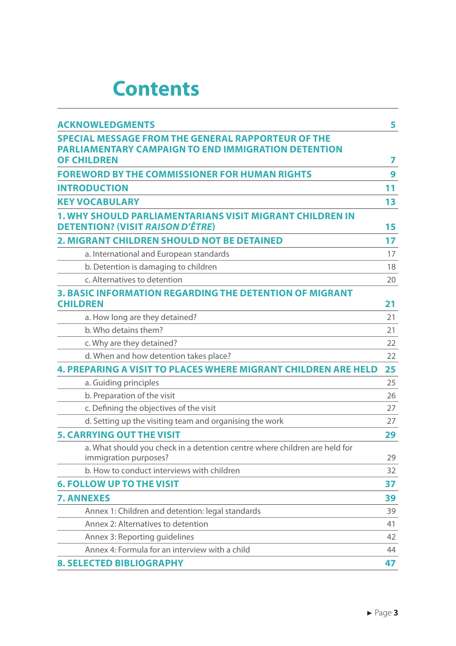### **[Contents](#page-5-0)**

| <b>ACKNOWLEDGMENTS</b>                                                                                     | 5  |
|------------------------------------------------------------------------------------------------------------|----|
| <b>SPECIAL MESSAGE FROM THE GENERAL RAPPORTEUR OF THE</b>                                                  |    |
| <b>PARLIAMENTARY CAMPAIGN TO END IMMIGRATION DETENTION</b>                                                 |    |
| <b>OF CHILDREN</b>                                                                                         | 7  |
| <b>FOREWORD BY THE COMMISSIONER FOR HUMAN RIGHTS</b>                                                       | 9  |
| <b>INTRODUCTION</b>                                                                                        | 11 |
| <b>KEY VOCABULARY</b>                                                                                      | 13 |
| <b>1. WHY SHOULD PARLIAMENTARIANS VISIT MIGRANT CHILDREN IN</b><br><b>DETENTION? (VISIT RAISON D'ÊTRE)</b> | 15 |
| <b>2. MIGRANT CHILDREN SHOULD NOT BE DETAINED</b>                                                          | 17 |
| a. International and European standards                                                                    | 17 |
| b. Detention is damaging to children                                                                       | 18 |
| c. Alternatives to detention                                                                               | 20 |
| <b>3. BASIC INFORMATION REGARDING THE DETENTION OF MIGRANT</b>                                             |    |
| <b>CHILDREN</b>                                                                                            | 21 |
| a. How long are they detained?                                                                             | 21 |
| b. Who detains them?                                                                                       | 21 |
| c. Why are they detained?                                                                                  | 22 |
| d. When and how detention takes place?                                                                     | 22 |
| <b>4. PREPARING A VISIT TO PLACES WHERE MIGRANT CHILDREN ARE HELD</b>                                      | 25 |
| a. Guiding principles                                                                                      | 25 |
| b. Preparation of the visit                                                                                | 26 |
| c. Defining the objectives of the visit                                                                    | 27 |
| d. Setting up the visiting team and organising the work                                                    | 27 |
| <b>5. CARRYING OUT THE VISIT</b>                                                                           | 29 |
| a. What should you check in a detention centre where children are held for<br>immigration purposes?        | 29 |
| b. How to conduct interviews with children                                                                 | 32 |
| <b>6. FOLLOW UP TO THE VISIT</b>                                                                           | 37 |
| <b>7. ANNEXES</b>                                                                                          | 39 |
| Annex 1: Children and detention: legal standards                                                           | 39 |
| Annex 2: Alternatives to detention                                                                         | 41 |
| Annex 3: Reporting guidelines                                                                              | 42 |
| Annex 4: Formula for an interview with a child                                                             | 44 |
| <b>8. SELECTED BIBLIOGRAPHY</b>                                                                            | 47 |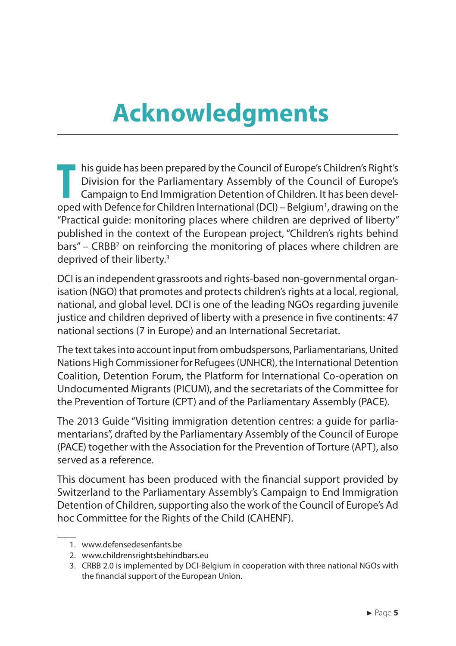### <span id="page-5-0"></span>**Acknowledgments**

**T** his guide has been prepared by the Council of Europe's Children's Right's Division for the Parliamentary Assembly of the Council of Europe's Campaign to End Immigration Detention of Children. It has been developed with Defence for Children International (DCI) – Belgium<sup>1</sup>, drawing on the "Practical guide: monitoring places where children are deprived of liberty" published in the context of the European project, "Children's rights behind bars" – CRBB<sup>2</sup> on reinforcing the monitoring of places where children are deprived of their liberty.<sup>3</sup>

DCI is an independent grassroots and rights-based non-governmental organisation (NGO) that promotes and protects children's rights at a local, regional, national, and global level. DCI is one of the leading NGOs regarding juvenile justice and children deprived of liberty with a presence in five continents: 47 national sections (7 in Europe) and an International Secretariat.

The text takes into account input from ombudspersons, Parliamentarians, United Nations High Commissioner for Refugees (UNHCR), the International Detention Coalition, Detention Forum, the Platform for International Co-operation on Undocumented Migrants (PICUM), and the secretariats of the Committee for the Prevention of Torture (CPT) and of the Parliamentary Assembly (PACE).

The 2013 Guide "Visiting immigration detention centres: a guide for parliamentarians", drafted by the Parliamentary Assembly of the Council of Europe (PACE) together with the Association for the Prevention of Torture (APT), also served as a reference.

This document has been produced with the financial support provided by Switzerland to the Parliamentary Assembly's Campaign to End Immigration Detention of Children, supporting also the work of the Council of Europe's Ad hoc Committee for the Rights of the Child (CAHENF).

2. www.childrensrightsbehindbars.eu

<sup>1.</sup> www.defensedesenfants.be

<sup>3.</sup> CRBB 2.0 is implemented by DCI-Belgium in cooperation with three national NGOs with the financial support of the European Union.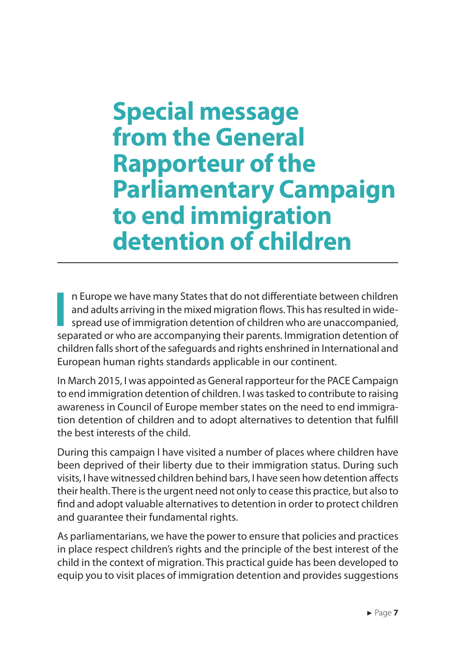### <span id="page-7-0"></span>**Special message from the General Rapporteur of the Parliamentary Campaign to end immigration detention of children**

**I** n Europe we have many States that do not differentiate between children and adults arriving in the mixed migration flows. This has resulted in widespread use of immigration detention of children who are unaccompanied, separated or who are accompanying their parents. Immigration detention of children falls short of the safeguards and rights enshrined in International and European human rights standards applicable in our continent.

In March 2015, I was appointed as General rapporteur for the PACE Campaign to end immigration detention of children. I was tasked to contribute to raising awareness in Council of Europe member states on the need to end immigration detention of children and to adopt alternatives to detention that fulfill the best interests of the child.

During this campaign I have visited a number of places where children have been deprived of their liberty due to their immigration status. During such visits, I have witnessed children behind bars, I have seen how detention affects their health. There is the urgent need not only to cease this practice, but also to find and adopt valuable alternatives to detention in order to protect children and guarantee their fundamental rights.

As parliamentarians, we have the power to ensure that policies and practices in place respect children's rights and the principle of the best interest of the child in the context of migration. This practical guide has been developed to equip you to visit places of immigration detention and provides suggestions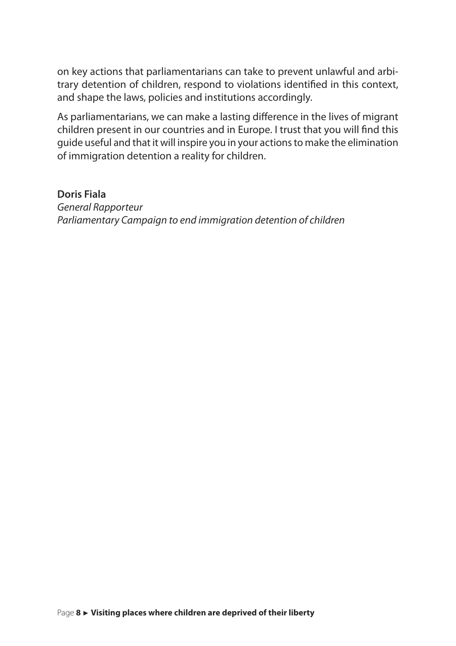on key actions that parliamentarians can take to prevent unlawful and arbitrary detention of children, respond to violations identified in this context, and shape the laws, policies and institutions accordingly.

As parliamentarians, we can make a lasting difference in the lives of migrant children present in our countries and in Europe. I trust that you will find this guide useful and that it will inspire you in your actions to make the elimination of immigration detention a reality for children.

#### **Doris Fiala**

*General Rapporteur Parliamentary Campaign to end immigration detention of children*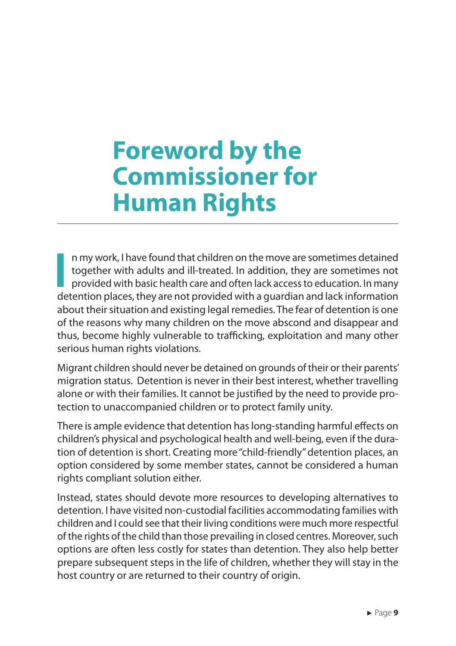### <span id="page-9-0"></span>**Foreword by the Commissioner for Human Rights**

**I** n my work, I have found that children on the move are sometimes detained together with adults and ill-treated. In addition, they are sometimes not provided with basic health care and often lack access to education. In many detention places, they are not provided with a guardian and lack information about their situation and existing legal remedies. The fear of detention is one of the reasons why many children on the move abscond and disappear and thus, become highly vulnerable to trafficking, exploitation and many other serious human rights violations.

Migrant children should never be detained on grounds of their or their parents' migration status. Detention is never in their best interest, whether travelling alone or with their families. It cannot be justified by the need to provide protection to unaccompanied children or to protect family unity.

There is ample evidence that detention has long-standing harmful effects on children's physical and psychological health and well-being, even if the duration of detention is short. Creating more "child-friendly" detention places, an option considered by some member states, cannot be considered a human rights compliant solution either.

Instead, states should devote more resources to developing alternatives to detention. I have visited non-custodial facilities accommodating families with children and I could see that their living conditions were much more respectful of the rights of the child than those prevailing in closed centres. Moreover, such options are often less costly for states than detention. They also help better prepare subsequent steps in the life of children, whether they will stay in the host country or are returned to their country of origin.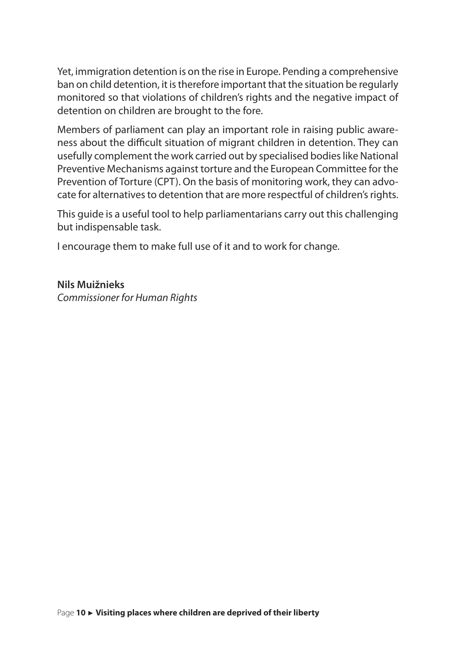Yet, immigration detention is on the rise in Europe. Pending a comprehensive ban on child detention, it is therefore important that the situation be regularly monitored so that violations of children's rights and the negative impact of detention on children are brought to the fore.

Members of parliament can play an important role in raising public awareness about the difficult situation of migrant children in detention. They can usefully complement the work carried out by specialised bodies like National Preventive Mechanisms against torture and the European Committee for the Prevention of Torture (CPT). On the basis of monitoring work, they can advocate for alternatives to detention that are more respectful of children's rights.

This guide is a useful tool to help parliamentarians carry out this challenging but indispensable task.

I encourage them to make full use of it and to work for change.

**Nils Muižnieks** *Commissioner for Human Rights*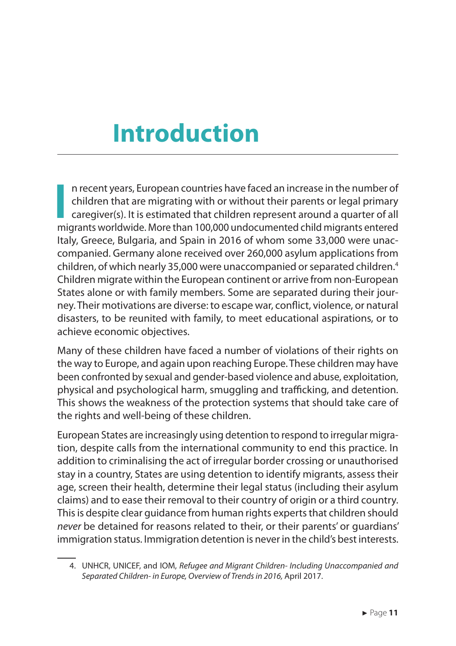### <span id="page-11-0"></span>**Introduction**

**I** n recent years, European countries have faced an increase in the number of children that are migrating with or without their parents or legal primary caregiver(s). It is estimated that children represent around a quarter of all migrants worldwide. More than 100,000 undocumented child migrants entered Italy, Greece, Bulgaria, and Spain in 2016 of whom some 33,000 were unaccompanied. Germany alone received over 260,000 asylum applications from children, of which nearly 35,000 were unaccompanied or separated children.<sup>4</sup> Children migrate within the European continent or arrive from non-European States alone or with family members. Some are separated during their journey. Their motivations are diverse: to escape war, conflict, violence, or natural disasters, to be reunited with family, to meet educational aspirations, or to achieve economic objectives.

Many of these children have faced a number of violations of their rights on the way to Europe, and again upon reaching Europe. These children may have been confronted by sexual and gender-based violence and abuse, exploitation, physical and psychological harm, smuggling and trafficking, and detention. This shows the weakness of the protection systems that should take care of the rights and well-being of these children.

European States are increasingly using detention to respond to irregular migration, despite calls from the international community to end this practice. In addition to criminalising the act of irregular border crossing or unauthorised stay in a country, States are using detention to identify migrants, assess their age, screen their health, determine their legal status (including their asylum claims) and to ease their removal to their country of origin or a third country. This is despite clear guidance from human rights experts that children should *never* be detained for reasons related to their, or their parents' or guardians' immigration status. Immigration detention is never in the child's best interests.

<sup>4.</sup> UNHCR, UNICEF, and IOM, *Refugee and Migrant Children- Including Unaccompanied and Separated Children- in Europe, Overview of Trends in 2016,* April 2017.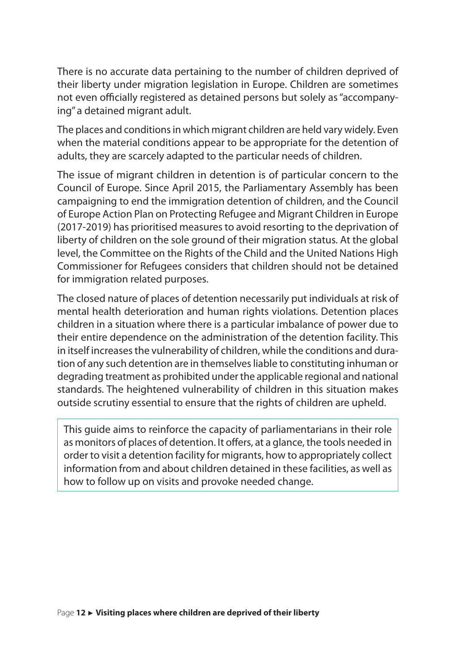There is no accurate data pertaining to the number of children deprived of their liberty under migration legislation in Europe. Children are sometimes not even officially registered as detained persons but solely as "accompanying" a detained migrant adult.

The places and conditions in which migrant children are held vary widely. Even when the material conditions appear to be appropriate for the detention of adults, they are scarcely adapted to the particular needs of children.

The issue of migrant children in detention is of particular concern to the Council of Europe. Since April 2015, the Parliamentary Assembly has been campaigning to end the immigration detention of children, and the Council of Europe Action Plan on Protecting Refugee and Migrant Children in Europe (2017-2019) has prioritised measures to avoid resorting to the deprivation of liberty of children on the sole ground of their migration status. At the global level, the Committee on the Rights of the Child and the United Nations High Commissioner for Refugees considers that children should not be detained for immigration related purposes.

The closed nature of places of detention necessarily put individuals at risk of mental health deterioration and human rights violations. Detention places children in a situation where there is a particular imbalance of power due to their entire dependence on the administration of the detention facility. This in itself increases the vulnerability of children, while the conditions and duration of any such detention are in themselves liable to constituting inhuman or degrading treatment as prohibited under the applicable regional and national standards. The heightened vulnerability of children in this situation makes outside scrutiny essential to ensure that the rights of children are upheld.

This guide aims to reinforce the capacity of parliamentarians in their role as monitors of places of detention. It offers, at a glance, the tools needed in order to visit a detention facility for migrants, how to appropriately collect information from and about children detained in these facilities, as well as how to follow up on visits and provoke needed change.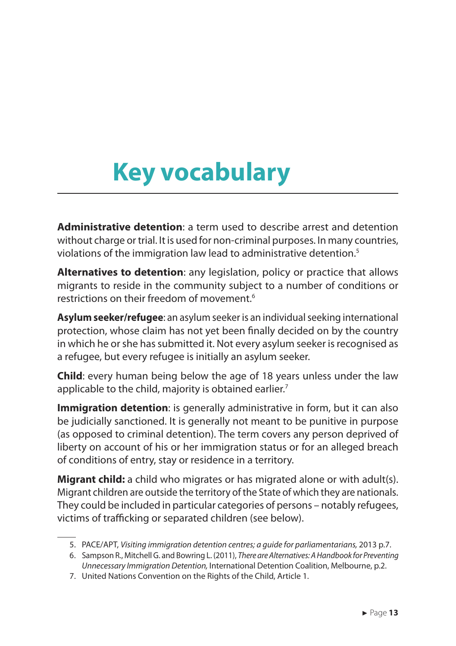# <span id="page-13-0"></span>**Key vocabulary**

**Administrative detention**: a term used to describe arrest and detention without charge or trial. It is used for non-criminal purposes. In many countries, violations of the immigration law lead to administrative detention.<sup>5</sup>

**Alternatives to detention**: any legislation, policy or practice that allows migrants to reside in the community subject to a number of conditions or restrictions on their freedom of movement.<sup>6</sup>

**Asylum seeker/refugee**: an asylum seeker is an individual seeking international protection, whose claim has not yet been finally decided on by the country in which he or she has submitted it. Not every asylum seeker is recognised as a refugee, but every refugee is initially an asylum seeker.

**Child**: every human being below the age of 18 years unless under the law applicable to the child, majority is obtained earlier.<sup>7</sup>

**Immigration detention**: is generally administrative in form, but it can also be judicially sanctioned. It is generally not meant to be punitive in purpose (as opposed to criminal detention). The term covers any person deprived of liberty on account of his or her immigration status or for an alleged breach of conditions of entry, stay or residence in a territory.

**Migrant child:** a child who migrates or has migrated alone or with adult(s). Migrant children are outside the territory of the State of which they are nationals. They could be included in particular categories of persons – notably refugees, victims of trafficking or separated children (see below).

<sup>5.</sup> PACE/APT, *Visiting immigration detention centres; a guide for parliamentarians,* 2013 p.7.

<sup>6.</sup> Sampson R., Mitchell G. and Bowring L. (2011), *There are Alternatives: A Handbook for Preventing Unnecessary Immigration Detention,* International Detention Coalition, Melbourne, p.2.

<sup>7.</sup> United Nations Convention on the Rights of the Child, Article 1.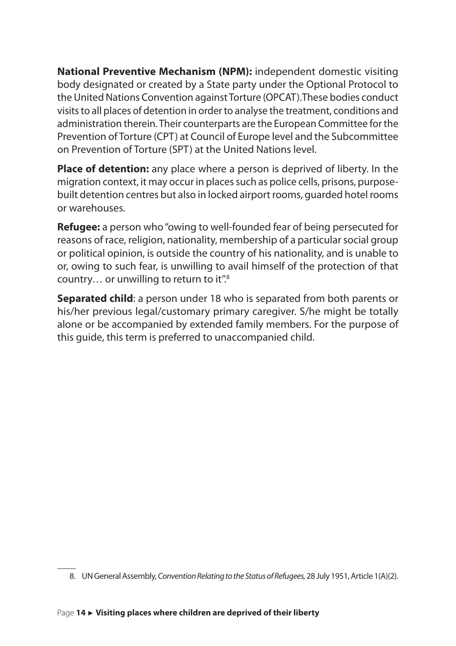**National Preventive Mechanism (NPM):** independent domestic visiting body designated or created by a State party under the Optional Protocol to the United Nations Convention against Torture (OPCAT).These bodies conduct visits to all places of detention in order to analyse the treatment, conditions and administration therein. Their counterparts are the European Committee for the Prevention of Torture (CPT) at Council of Europe level and the Subcommittee on Prevention of Torture (SPT) at the United Nations level.

**Place of detention:** any place where a person is deprived of liberty. In the migration context, it may occur in places such as police cells, prisons, purposebuilt detention centres but also in locked airport rooms, guarded hotel rooms or warehouses.

**Refugee:** a person who "owing to well-founded fear of being persecuted for reasons of race, religion, nationality, membership of a particular social group or political opinion, is outside the country of his nationality, and is unable to or, owing to such fear, is unwilling to avail himself of the protection of that country… or unwilling to return to it".<sup>8</sup>

**Separated child**: a person under 18 who is separated from both parents or his/her previous legal/customary primary caregiver. S/he might be totally alone or be accompanied by extended family members. For the purpose of this guide, this term is preferred to unaccompanied child.

<sup>8.</sup> UN General Assembly, *Convention Relating to the Status of Refugees,* 28 July 1951, Article 1(A)(2).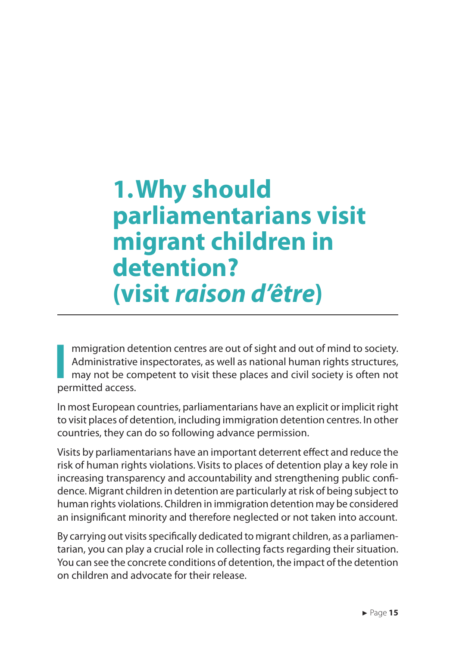### <span id="page-15-0"></span>**1.Why should parliamentarians visit migrant children in detention? (visit** *raison d'être***)**

**I** mmigration detention centres are out of sight and out of mind to society. Administrative inspectorates, as well as national human rights structures, may not be competent to visit these places and civil society is often not permitted access.

In most European countries, parliamentarians have an explicit or implicit right to visit places of detention, including immigration detention centres. In other countries, they can do so following advance permission.

Visits by parliamentarians have an important deterrent effect and reduce the risk of human rights violations. Visits to places of detention play a key role in increasing transparency and accountability and strengthening public confidence. Migrant children in detention are particularly at risk of being subject to human rights violations. Children in immigration detention may be considered an insignificant minority and therefore neglected or not taken into account.

By carrying out visits specifically dedicated to migrant children, as a parliamentarian, you can play a crucial role in collecting facts regarding their situation. You can see the concrete conditions of detention, the impact of the detention on children and advocate for their release.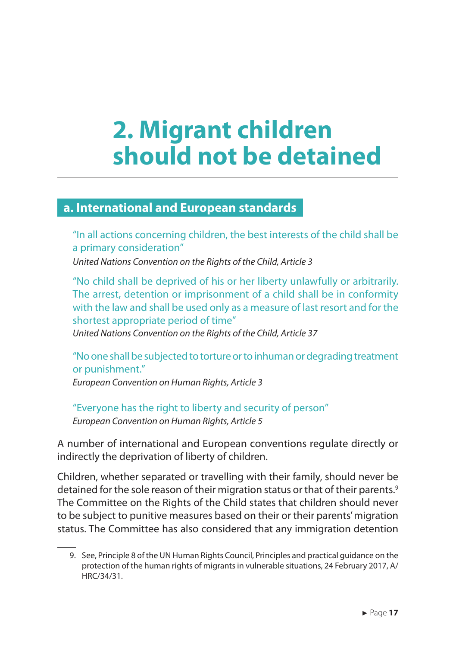### <span id="page-17-0"></span>**2. Migrant children should not be detained**

#### **a. International and European standards**

"In all actions concerning children, the best interests of the child shall be a primary consideration"

*United Nations Convention on the Rights of the Child, Article 3*

"No child shall be deprived of his or her liberty unlawfully or arbitrarily. The arrest, detention or imprisonment of a child shall be in conformity with the law and shall be used only as a measure of last resort and for the shortest appropriate period of time"

*United Nations Convention on the Rights of the Child, Article 37*

"No one shall be subjected to torture or to inhuman or degrading treatment or punishment."

*European Convention on Human Rights, Article 3*

"Everyone has the right to liberty and security of person" *European Convention on Human Rights, Article 5*

A number of international and European conventions regulate directly or indirectly the deprivation of liberty of children.

Children, whether separated or travelling with their family, should never be detained for the sole reason of their migration status or that of their parents.<sup>9</sup> The Committee on the Rights of the Child states that children should never to be subject to punitive measures based on their or their parents' migration status. The Committee has also considered that any immigration detention

<sup>9.</sup> See, Principle 8 of the UN Human Rights Council, Principles and practical guidance on the protection of the human rights of migrants in vulnerable situations, 24 February 2017, A/ HRC/34/31.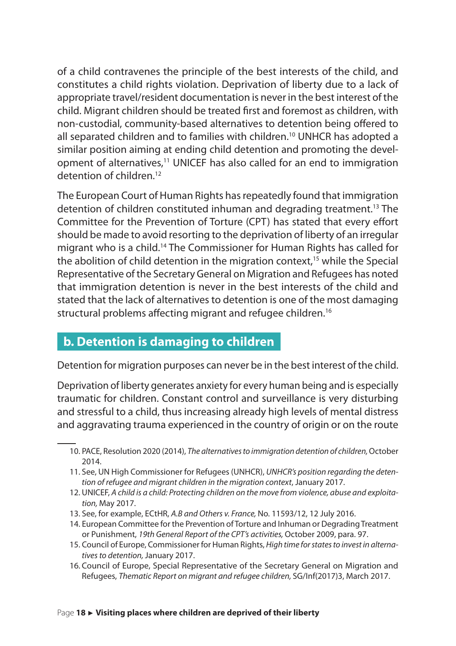<span id="page-18-0"></span>of a child contravenes the principle of the best interests of the child, and constitutes a child rights violation. Deprivation of liberty due to a lack of appropriate travel/resident documentation is never in the best interest of the child. Migrant children should be treated first and foremost as children, with non-custodial, community-based alternatives to detention being offered to all separated children and to families with children.<sup>10</sup> UNHCR has adopted a similar position aiming at ending child detention and promoting the development of alternatives,<sup>11</sup> UNICEF has also called for an end to immigration detention of children<sup>12</sup>

The European Court of Human Rights has repeatedly found that immigration detention of children constituted inhuman and degrading treatment.<sup>13</sup> The Committee for the Prevention of Torture (CPT) has stated that every effort should be made to avoid resorting to the deprivation of liberty of an irregular migrant who is a child.<sup>14</sup> The Commissioner for Human Rights has called for the abolition of child detention in the migration context, $15$  while the Special Representative of the Secretary General on Migration and Refugees has noted that immigration detention is never in the best interests of the child and stated that the lack of alternatives to detention is one of the most damaging structural problems affecting migrant and refugee children.<sup>16</sup>

#### **b. Detention is damaging to children**

Detention for migration purposes can never be in the best interest of the child.

Deprivation of liberty generates anxiety for every human being and is especially traumatic for children. Constant control and surveillance is very disturbing and stressful to a child, thus increasing already high levels of mental distress and aggravating trauma experienced in the country of origin or on the route

- 11. See, UN High Commissioner for Refugees (UNHCR), *UNHCR's position regarding the detention of refugee and migrant children in the migration context*, January 2017.
- 12. UNICEF, *A child is a child: Protecting children on the move from violence, abuse and exploitation,* May 2017.
- 13. See, for example, ECtHR, *A.B and Others v. France,* No. 11593/12, 12 July 2016.
- 14. European Committee for the Prevention of Torture and Inhuman or Degrading Treatment or Punishment, *19th General Report of the CPT's activities,* October 2009, para. 97.
- 15. Council of Europe, Commissioner for Human Rights, *High time for states to invest in alternatives to detention,* January 2017.
- 16. Council of Europe, Special Representative of the Secretary General on Migration and Refugees, *Thematic Report on migrant and refugee children,* SG/Inf(2017)3, March 2017.

<sup>10.</sup> PACE, Resolution 2020 (2014), *The alternatives to immigration detention of children,* October 2014.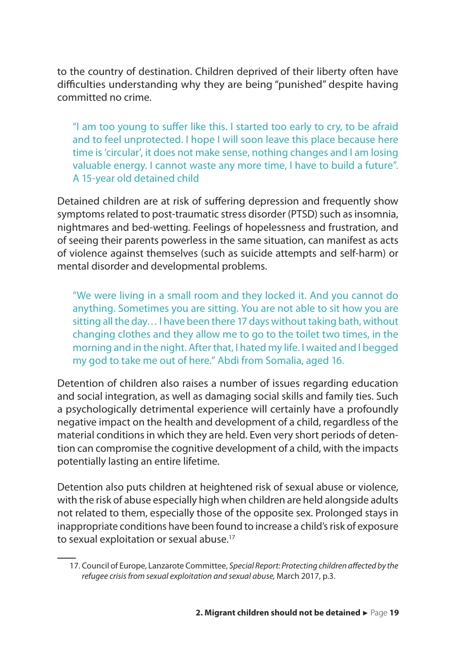to the country of destination. Children deprived of their liberty often have difficulties understanding why they are being "punished" despite having committed no crime.

"I am too young to suffer like this. I started too early to cry, to be afraid and to feel unprotected. I hope I will soon leave this place because here time is 'circular', it does not make sense, nothing changes and I am losing valuable energy. I cannot waste any more time, I have to build a future". A 15-year old detained child

Detained children are at risk of suffering depression and frequently show symptoms related to post-traumatic stress disorder (PTSD) such as insomnia, nightmares and bed-wetting. Feelings of hopelessness and frustration, and of seeing their parents powerless in the same situation, can manifest as acts of violence against themselves (such as suicide attempts and self-harm) or mental disorder and developmental problems.

"We were living in a small room and they locked it. And you cannot do anything. Sometimes you are sitting. You are not able to sit how you are sitting all the day… I have been there 17 days without taking bath, without changing clothes and they allow me to go to the toilet two times, in the morning and in the night. After that, I hated my life. I waited and I begged my god to take me out of here." Abdi from Somalia, aged 16.

Detention of children also raises a number of issues regarding education and social integration, as well as damaging social skills and family ties. Such a psychologically detrimental experience will certainly have a profoundly negative impact on the health and development of a child, regardless of the material conditions in which they are held. Even very short periods of detention can compromise the cognitive development of a child, with the impacts potentially lasting an entire lifetime.

Detention also puts children at heightened risk of sexual abuse or violence, with the risk of abuse especially high when children are held alongside adults not related to them, especially those of the opposite sex. Prolonged stays in inappropriate conditions have been found to increase a child's risk of exposure to sexual exploitation or sexual abuse.<sup>17</sup>

<sup>17.</sup> Council of Europe, Lanzarote Committee, *Special Report: Protecting children affected by the refugee crisis from sexual exploitation and sexual abuse,* March 2017, p.3.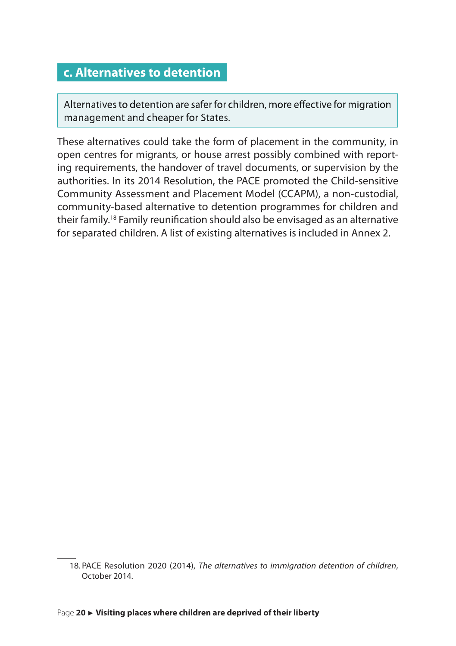#### <span id="page-20-0"></span>**c. Alternatives to detention**

Alternatives to detention are safer for children, more effective for migration management and cheaper for States.

These alternatives could take the form of placement in the community, in open centres for migrants, or house arrest possibly combined with reporting requirements, the handover of travel documents, or supervision by the authorities. In its 2014 Resolution, the PACE promoted the Child-sensitive Community Assessment and Placement Model (CCAPM), a non-custodial, community-based alternative to detention programmes for children and their family.<sup>18</sup> Family reunification should also be envisaged as an alternative for separated children. A list of existing alternatives is included in Annex 2.

<sup>18.</sup> PACE Resolution 2020 (2014), *The alternatives to immigration detention of children*, October 2014.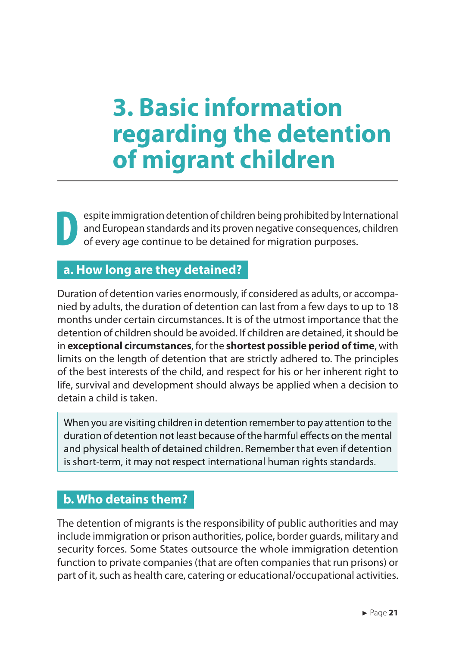### <span id="page-21-0"></span>**3. Basic information regarding the detention of migrant children**

**D** espite immigration detention of children being prohibited by International and European standards and its proven negative consequences, children of every age continue to be detained for migration purposes.

#### **a. How long are they detained?**

Duration of detention varies enormously, if considered as adults, or accompanied by adults, the duration of detention can last from a few days to up to 18 months under certain circumstances. It is of the utmost importance that the detention of children should be avoided. If children are detained, it should be in **exceptional circumstances**, for the **shortest possible period of time**, with limits on the length of detention that are strictly adhered to. The principles of the best interests of the child, and respect for his or her inherent right to life, survival and development should always be applied when a decision to detain a child is taken.

When you are visiting children in detention rememberto pay attention to the duration of detention not least because of the harmful effects on the mental and physical health of detained children. Remember that even if detention is short-term, it may not respect international human rights standards.

#### **b. Who detains them?**

The detention of migrants is the responsibility of public authorities and may include immigration or prison authorities, police, border guards, military and security forces. Some States outsource the whole immigration detention function to private companies (that are often companies that run prisons) or part of it, such as health care, catering or educational/occupational activities.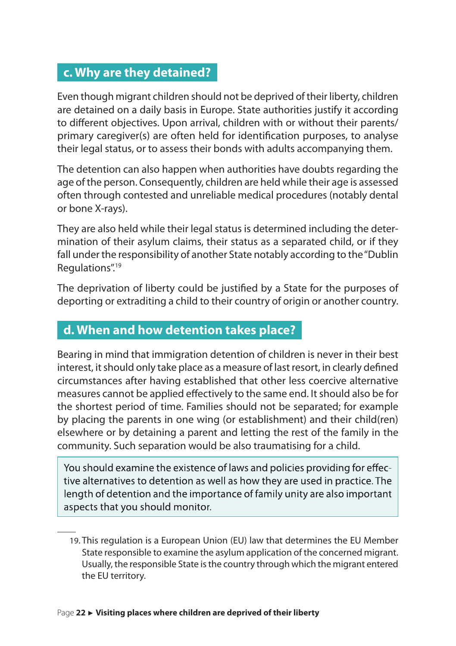#### <span id="page-22-0"></span>**c. Why are they detained?**

Even though migrant children should not be deprived of their liberty, children are detained on a daily basis in Europe. State authorities justify it according to different objectives. Upon arrival, children with or without their parents/ primary caregiver(s) are often held for identification purposes, to analyse their legal status, or to assess their bonds with adults accompanying them.

The detention can also happen when authorities have doubts regarding the age of the person. Consequently, children are held while their age is assessed often through contested and unreliable medical procedures (notably dental or bone X-rays).

They are also held while their legal status is determined including the determination of their asylum claims, their status as a separated child, or if they fall under the responsibility of another State notably according to the "Dublin Regulations".<sup>19</sup>

The deprivation of liberty could be justified by a State for the purposes of deporting or extraditing a child to their country of origin or another country.

#### **d. When and how detention takes place?**

Bearing in mind that immigration detention of children is never in their best interest, it should only take place as a measure of last resort, in clearly defined circumstances after having established that other less coercive alternative measures cannot be applied effectively to the same end. It should also be for the shortest period of time. Families should not be separated; for example by placing the parents in one wing (or establishment) and their child(ren) elsewhere or by detaining a parent and letting the rest of the family in the community. Such separation would be also traumatising for a child.

You should examine the existence of laws and policies providing for effective alternatives to detention as well as how they are used in practice. The length of detention and the importance of family unity are also important aspects that you should monitor.

<sup>19</sup>. This regulation is a European Union (EU) law that determines the EU Member State responsible to examine the asylum application of the concerned migrant. Usually, the responsible State is the country through which the migrant entered the EU territory.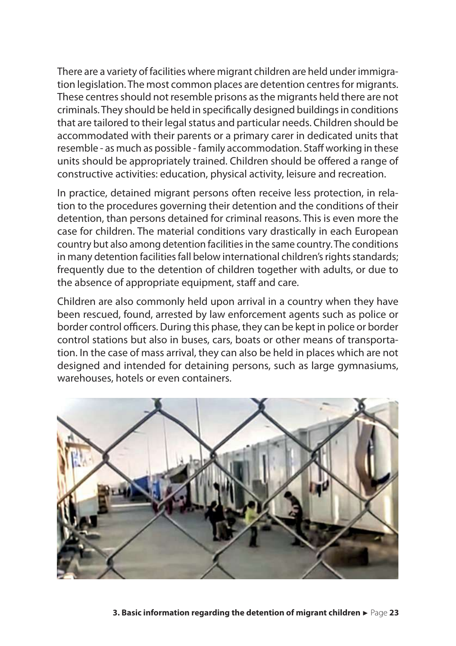There are a variety of facilities where migrant children are held under immigration legislation. The most common places are detention centres for migrants. These centres should not resemble prisons as the migrants held there are not criminals. They should be held in specifically designed buildings in conditions that are tailored to their legal status and particular needs. Children should be accommodated with their parents or a primary carer in dedicated units that resemble - as much as possible - family accommodation. Staff working in these units should be appropriately trained. Children should be offered a range of constructive activities: education, physical activity, leisure and recreation.

In practice, detained migrant persons often receive less protection, in relation to the procedures governing their detention and the conditions of their detention, than persons detained for criminal reasons. This is even more the case for children. The material conditions vary drastically in each European country but also among detention facilities in the same country. The conditions in many detention facilities fall below international children's rights standards; frequently due to the detention of children together with adults, or due to the absence of appropriate equipment, staff and care.

Children are also commonly held upon arrival in a country when they have been rescued, found, arrested by law enforcement agents such as police or border control officers. During this phase, they can be kept in police or border control stations but also in buses, cars, boats or other means of transportation. In the case of mass arrival, they can also be held in places which are not designed and intended for detaining persons, such as large gymnasiums, warehouses, hotels or even containers.

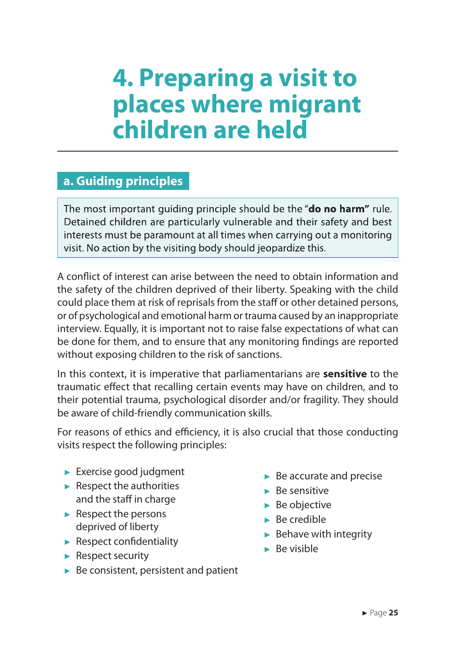### <span id="page-25-0"></span>**4. Preparing a visit to places where migrant children are held**

#### **a. Guiding principles**

The most important guiding principle should be the "**do no harm"** rule. Detained children are particularly vulnerable and their safety and best interests must be paramount at all times when carrying out a monitoring visit. No action by the visiting body should jeopardize this.

A conflict of interest can arise between the need to obtain information and the safety of the children deprived of their liberty. Speaking with the child could place them at risk of reprisals from the staff or other detained persons, or of psychological and emotional harm or trauma caused by an inappropriate interview. Equally, it is important not to raise false expectations of what can be done for them, and to ensure that any monitoring findings are reported without exposing children to the risk of sanctions.

In this context, it is imperative that parliamentarians are **sensitive** to the traumatic effect that recalling certain events may have on children, and to their potential trauma, psychological disorder and/or fragility. They should be aware of child-friendly communication skills.

For reasons of ethics and efficiency, it is also crucial that those conducting visits respect the following principles:

- ► Exercise good judgment
- $\blacktriangleright$  Respect the authorities and the staff in charge
- ► Respect the persons deprived of liberty
- ► Respect confidentiality
- ► Respect security
- $\blacktriangleright$  Be consistent, persistent and patient
- ► Be accurate and precise
- ► Be sensitive
- ► Be objective
- ► Be credible
- $\blacktriangleright$  Behave with integrity
- ► Be visible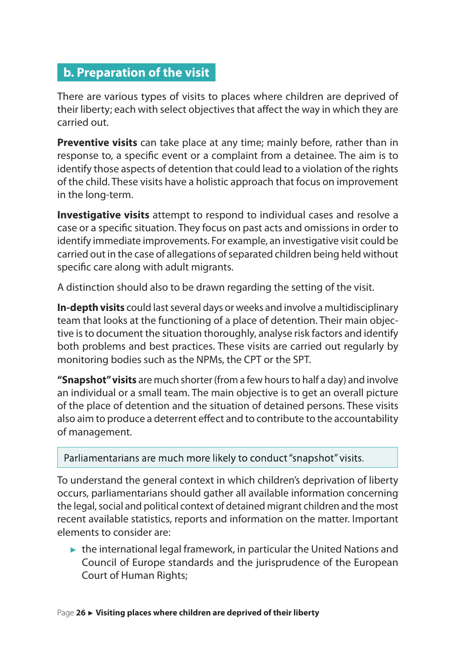#### <span id="page-26-0"></span>**b. Preparation of the visit**

There are various types of visits to places where children are deprived of their liberty; each with select objectives that affect the way in which they are carried out.

**Preventive visits** can take place at any time; mainly before, rather than in response to, a specific event or a complaint from a detainee. The aim is to identify those aspects of detention that could lead to a violation of the rights of the child. These visits have a holistic approach that focus on improvement in the long-term.

**Investigative visits** attempt to respond to individual cases and resolve a case or a specific situation. They focus on past acts and omissions in order to identify immediate improvements. For example, an investigative visit could be carried out in the case of allegations of separated children being held without specific care along with adult migrants.

A distinction should also to be drawn regarding the setting of the visit.

**In-depth visits** could last several days or weeks and involve a multidisciplinary team that looks at the functioning of a place of detention. Their main objective is to document the situation thoroughly, analyse risk factors and identify both problems and best practices. These visits are carried out regularly by monitoring bodies such as the NPMs, the CPT or the SPT.

**"Snapshot" visits** are much shorter (from a few hours to half a day) and involve an individual or a small team. The main objective is to get an overall picture of the place of detention and the situation of detained persons. These visits also aim to produce a deterrent effect and to contribute to the accountability of management.

Parliamentarians are much more likely to conduct "snapshot" visits.

To understand the general context in which children's deprivation of liberty occurs, parliamentarians should gather all available information concerning the legal, social and political context of detained migrant children and the most recent available statistics, reports and information on the matter. Important elements to consider are:

 $\triangleright$  the international legal framework, in particular the United Nations and Council of Europe standards and the jurisprudence of the European Court of Human Rights;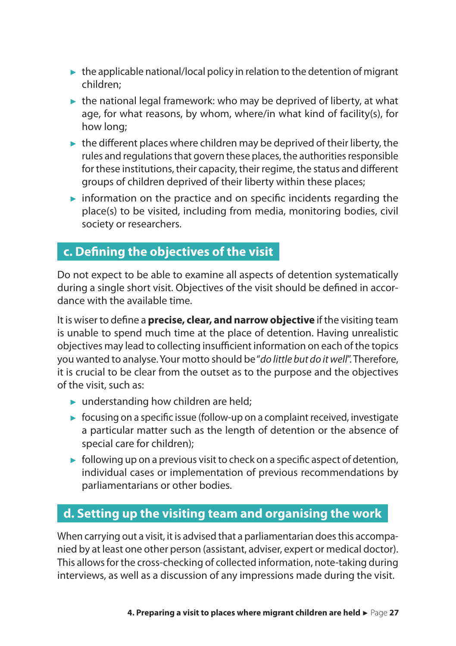- <span id="page-27-0"></span> $\blacktriangleright$  the applicable national/local policy in relation to the detention of migrant children;
- $\triangleright$  the national legal framework: who may be deprived of liberty, at what age, for what reasons, by whom, where/in what kind of facility(s), for how long;
- $\blacktriangleright$  the different places where children may be deprived of their liberty, the rules and regulations that govern these places, the authorities responsible for these institutions, their capacity, their regime, the status and different groups of children deprived of their liberty within these places;
- $\triangleright$  information on the practice and on specific incidents regarding the place(s) to be visited, including from media, monitoring bodies, civil society or researchers.

#### **c. Defining the objectives of the visit**

Do not expect to be able to examine all aspects of detention systematically during a single short visit. Objectives of the visit should be defined in accordance with the available time.

It is wiser to define a **precise, clear, and narrow objective** if the visiting team is unable to spend much time at the place of detention. Having unrealistic objectives may lead to collecting insufficient information on each of the topics you wanted to analyse. Your motto should be "*do little but do it well*". Therefore, it is crucial to be clear from the outset as to the purpose and the objectives of the visit, such as:

- $\blacktriangleright$  understanding how children are held;
- ► focusing on a specific issue (follow-up on a complaint received, investigate a particular matter such as the length of detention or the absence of special care for children);
- $\triangleright$  following up on a previous visit to check on a specific aspect of detention, individual cases or implementation of previous recommendations by parliamentarians or other bodies.

#### **d. Setting up the visiting team and organising the work**

When carrying out a visit, it is advised that a parliamentarian does this accompanied by at least one other person (assistant, adviser, expert or medical doctor). This allows for the cross-checking of collected information, note-taking during interviews, as well as a discussion of any impressions made during the visit.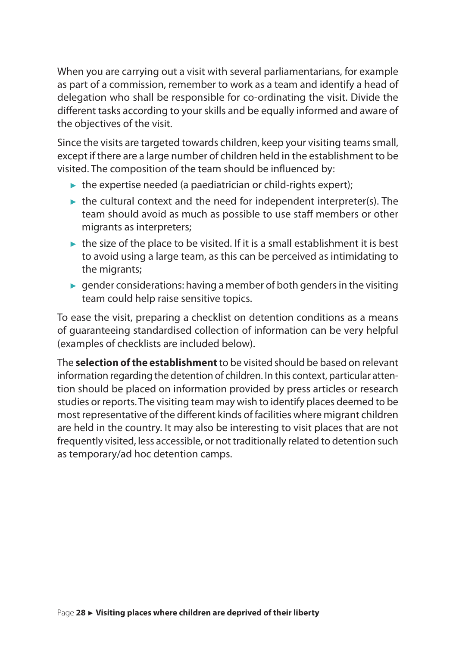When you are carrying out a visit with several parliamentarians, for example as part of a commission, remember to work as a team and identify a head of delegation who shall be responsible for co-ordinating the visit. Divide the different tasks according to your skills and be equally informed and aware of the objectives of the visit.

Since the visits are targeted towards children, keep your visiting teams small, except if there are a large number of children held in the establishment to be visited. The composition of the team should be influenced by:

- $\triangleright$  the expertise needed (a paediatrician or child-rights expert);
- $\blacktriangleright$  the cultural context and the need for independent interpreter(s). The team should avoid as much as possible to use staff members or other migrants as interpreters;
- $\blacktriangleright$  the size of the place to be visited. If it is a small establishment it is best to avoid using a large team, as this can be perceived as intimidating to the migrants;
- $\blacktriangleright$  gender considerations: having a member of both genders in the visiting team could help raise sensitive topics.

To ease the visit, preparing a checklist on detention conditions as a means of guaranteeing standardised collection of information can be very helpful (examples of checklists are included below).

The **selection of the establishment** to be visited should be based on relevant information regarding the detention of children. In this context, particular attention should be placed on information provided by press articles or research studies or reports. The visiting team may wish to identify places deemed to be most representative of the different kinds of facilities where migrant children are held in the country. It may also be interesting to visit places that are not frequently visited, less accessible, or not traditionally related to detention such as temporary/ad hoc detention camps.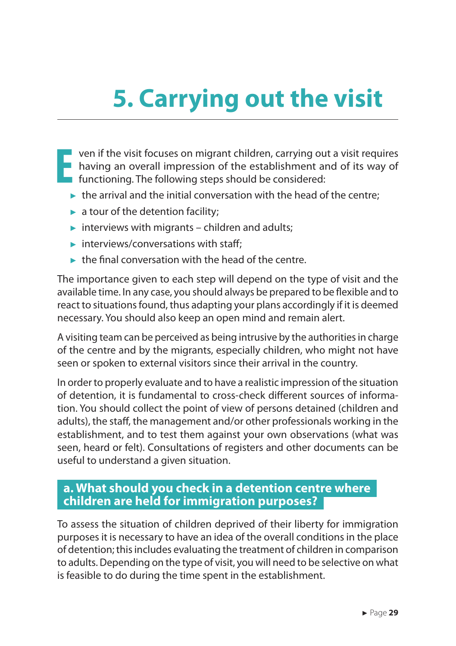# <span id="page-29-0"></span>**5. Carrying out the visit**

- **E** ven if the visit focuses on migrant children, carrying out a visit requires having an overall impression of the establishment and of its way of functioning. The following steps should be considered:
	- $\blacktriangleright$  the arrival and the initial conversation with the head of the centre;
	- $\blacktriangleright$  a tour of the detention facility;
	- $\triangleright$  interviews with migrants children and adults;
	- $\blacktriangleright$  interviews/conversations with staff;
	- $\blacktriangleright$  the final conversation with the head of the centre.

The importance given to each step will depend on the type of visit and the available time. In any case, you should always be prepared to be flexible and to react to situations found, thus adapting your plans accordingly if it is deemed necessary. You should also keep an open mind and remain alert.

A visiting team can be perceived as being intrusive by the authorities in charge of the centre and by the migrants, especially children, who might not have seen or spoken to external visitors since their arrival in the country.

In order to properly evaluate and to have a realistic impression of the situation of detention, it is fundamental to cross-check different sources of information. You should collect the point of view of persons detained (children and adults), the staff, the management and/or other professionals working in the establishment, and to test them against your own observations (what was seen, heard or felt). Consultations of registers and other documents can be useful to understand a given situation.

#### **a. What should you check in a detention centre where children are held for immigration purposes?**

To assess the situation of children deprived of their liberty for immigration purposes it is necessary to have an idea of the overall conditions in the place of detention; this includes evaluating the treatment of children in comparison to adults. Depending on the type of visit, you will need to be selective on what is feasible to do during the time spent in the establishment.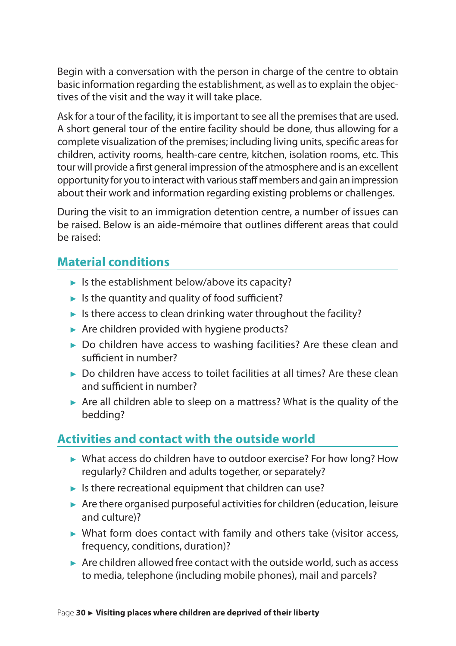Begin with a conversation with the person in charge of the centre to obtain basic information regarding the establishment, as well as to explain the objectives of the visit and the way it will take place.

Ask for a tour of the facility, it is important to see all the premises that are used. A short general tour of the entire facility should be done, thus allowing for a complete visualization of the premises; including living units, specific areas for children, activity rooms, health-care centre, kitchen, isolation rooms, etc. This tour will provide a first general impression of the atmosphere and is an excellent opportunity for you to interact with various staff members and gain an impression about their work and information regarding existing problems or challenges.

During the visit to an immigration detention centre, a number of issues can be raised. Below is an aide-mémoire that outlines different areas that could be raised:

#### **Material conditions**

- $\blacktriangleright$  Is the establishment below/above its capacity?
- $\blacktriangleright$  Is the quantity and quality of food sufficient?
- $\blacktriangleright$  Is there access to clean drinking water throughout the facility?
- ► Are children provided with hygiene products?
- ► Do children have access to washing facilities? Are these clean and sufficient in number?
- ► Do children have access to toilet facilities at all times? Are these clean and sufficient in number?
- ► Are all children able to sleep on a mattress? What is the quality of the bedding?

#### **Activities and contact with the outside world**

- ► What access do children have to outdoor exercise? For how long? How regularly? Children and adults together, or separately?
- $\blacktriangleright$  Is there recreational equipment that children can use?
- ► Are there organised purposeful activities for children (education, leisure and culture)?
- ► What form does contact with family and others take (visitor access, frequency, conditions, duration)?
- $\triangleright$  Are children allowed free contact with the outside world, such as access to media, telephone (including mobile phones), mail and parcels?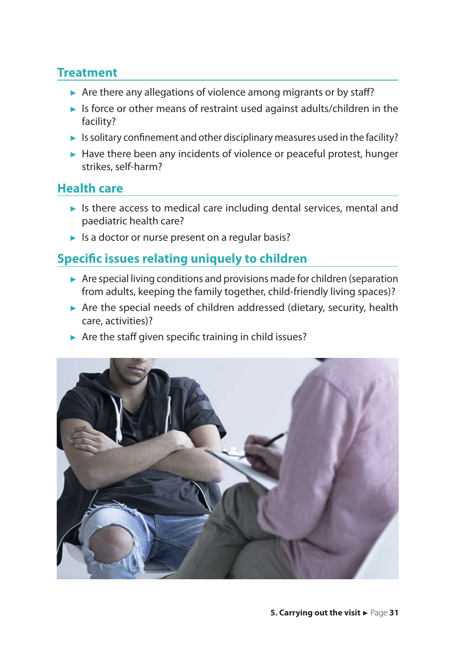#### **Treatment**

- ► Are there any allegations of violence among migrants or by staff?
- ► Is force or other means of restraint used against adults/children in the facility?
- $\blacktriangleright$  Is solitary confinement and other disciplinary measures used in the facility?
- ► Have there been any incidents of violence or peaceful protest, hunger strikes, self-harm?

#### **Health care**

- ► Is there access to medical care including dental services, mental and paediatric health care?
- ► Is a doctor or nurse present on a regular basis?

#### **Specific issues relating uniquely to children**

- ► Are special living conditions and provisions made for children (separation from adults, keeping the family together, child-friendly living spaces)?
- ► Are the special needs of children addressed (dietary, security, health care, activities)?
- ► Are the staff given specific training in child issues?

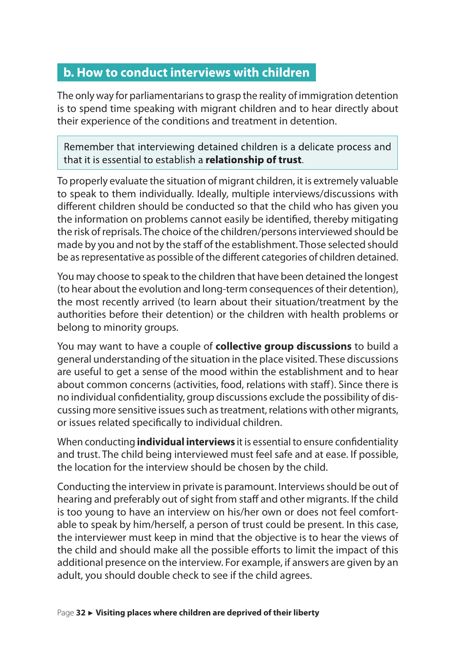#### <span id="page-32-0"></span>**b. How to conduct interviews with children**

The only way for parliamentarians to grasp the reality of immigration detention is to spend time speaking with migrant children and to hear directly about their experience of the conditions and treatment in detention.

Remember that interviewing detained children is a delicate process and that it is essential to establish a **relationship of trust**.

To properly evaluate the situation of migrant children, it is extremely valuable to speak to them individually. Ideally, multiple interviews/discussions with different children should be conducted so that the child who has given you the information on problems cannot easily be identified, thereby mitigating the risk of reprisals. The choice of the children/persons interviewed should be made by you and not by the staff of the establishment. Those selected should be as representative as possible of the different categories of children detained.

You may choose to speak to the children that have been detained the longest (to hear about the evolution and long-term consequences of their detention), the most recently arrived (to learn about their situation/treatment by the authorities before their detention) or the children with health problems or belong to minority groups.

You may want to have a couple of **collective group discussions** to build a general understanding of the situation in the place visited. These discussions are useful to get a sense of the mood within the establishment and to hear about common concerns (activities, food, relations with staff). Since there is no individual confidentiality, group discussions exclude the possibility of discussing more sensitive issues such as treatment, relations with other migrants, or issues related specifically to individual children.

When conducting **individual interviews** it is essential to ensure confidentiality and trust. The child being interviewed must feel safe and at ease. If possible, the location for the interview should be chosen by the child.

Conducting the interview in private is paramount. Interviews should be out of hearing and preferably out of sight from staff and other migrants. If the child is too young to have an interview on his/her own or does not feel comfortable to speak by him/herself, a person of trust could be present. In this case, the interviewer must keep in mind that the objective is to hear the views of the child and should make all the possible efforts to limit the impact of this additional presence on the interview. For example, if answers are given by an adult, you should double check to see if the child agrees.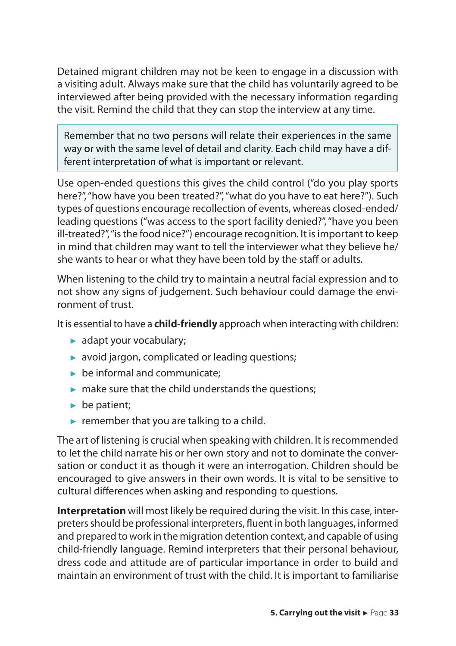Detained migrant children may not be keen to engage in a discussion with a visiting adult. Always make sure that the child has voluntarily agreed to be interviewed after being provided with the necessary information regarding the visit. Remind the child that they can stop the interview at any time.

Remember that no two persons will relate their experiences in the same way or with the same level of detail and clarity. Each child may have a different interpretation of what is important or relevant.

Use open-ended questions this gives the child control ("do you play sports here?", "how have you been treated?", "what do you have to eat here?"). Such types of questions encourage recollection of events, whereas closed-ended/ leading questions ("was access to the sport facility denied?", "have you been ill-treated?", "is the food nice?") encourage recognition. It is important to keep in mind that children may want to tell the interviewer what they believe he/ she wants to hear or what they have been told by the staff or adults.

When listening to the child try to maintain a neutral facial expression and to not show any signs of judgement. Such behaviour could damage the environment of trust.

It is essential to have a **child-friendly** approach when interacting with children:

- ► adapt your vocabulary;
- ► avoid jargon, complicated or leading questions;
- $\blacktriangleright$  be informal and communicate:
- $\blacktriangleright$  make sure that the child understands the questions;
- ► be patient;
- $\blacktriangleright$  remember that you are talking to a child.

The art of listening is crucial when speaking with children. It is recommended to let the child narrate his or her own story and not to dominate the conversation or conduct it as though it were an interrogation. Children should be encouraged to give answers in their own words. It is vital to be sensitive to cultural differences when asking and responding to questions.

**Interpretation** will most likely be required during the visit. In this case, interpreters should be professional interpreters, fluent in both languages, informed and prepared to work in the migration detention context, and capable of using child-friendly language. Remind interpreters that their personal behaviour, dress code and attitude are of particular importance in order to build and maintain an environment of trust with the child. It is important to familiarise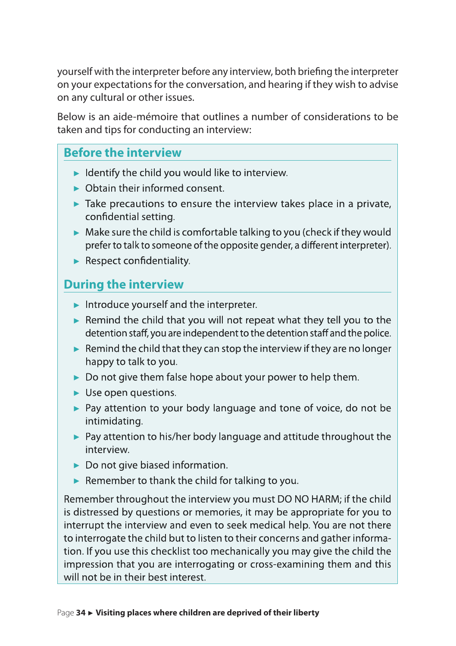yourself with the interpreter before any interview, both briefing the interpreter on your expectations for the conversation, and hearing if they wish to advise on any cultural or other issues.

Below is an aide-mémoire that outlines a number of considerations to be taken and tips for conducting an interview:

#### **Before the interview**

- $\blacktriangleright$  Identify the child you would like to interview.
- ► Obtain their informed consent.
- $\blacktriangleright$  Take precautions to ensure the interview takes place in a private, confidential setting.
- $\blacktriangleright$  Make sure the child is comfortable talking to you (check if they would prefer to talk to someone of the opposite gender, a different interpreter).
- ► Respect confidentiality.

#### **During the interview**

- ► Introduce yourself and the interpreter.
- ► Remind the child that you will not repeat what they tell you to the detention staff, you are independent to the detention staff and the police.
- $\blacktriangleright$  Remind the child that they can stop the interview if they are no longer happy to talk to you.
- ► Do not give them false hope about your power to help them.
- ► Use open questions.
- ► Pay attention to your body language and tone of voice, do not be intimidating.
- ► Pay attention to his/her body language and attitude throughout the interview.
- ► Do not give biased information.
- $\blacktriangleright$  Remember to thank the child for talking to you.

Remember throughout the interview youmust DO NO HARM; if the child is distressed by questions or memories, it may be appropriate for you to interrupt the interview and even to seek medical help. You are not there to interrogate the child but to listen to their concerns and gather information. If you use this checklist too mechanically you may give the child the impression that you are interrogating or cross-examining them and this will not be in their best interest.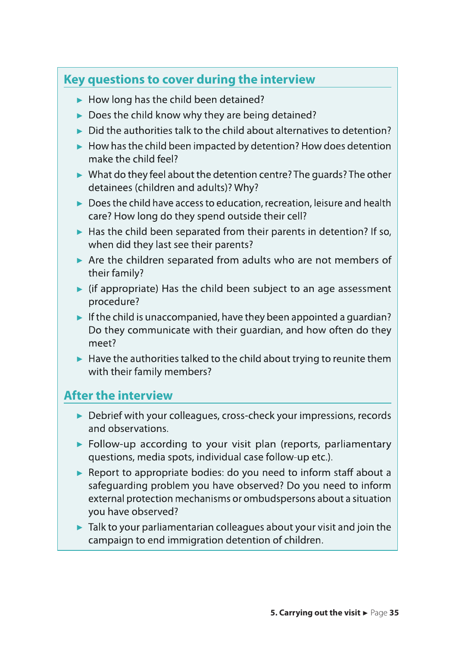#### **Key questions to cover during the interview**

- ► How long has the child been detained?
- ► Does the child know why they are being detained?
- $\triangleright$  Did the authorities talk to the child about alternatives to detention?
- $\blacktriangleright$  How has the child been impacted by detention? How does detention make the child feel?
- ► What do they feel about the detention centre? The guards? The other detainees (children and adults)? Why?
- ► Doesthe child have accessto education, recreation, leisure and health care? How long do they spend outside their cell?
- ► Has the child been separated from their parents in detention? If so, when did they last see their parents?
- ► Are the children separated from adults who are not members of their family?
- $\blacktriangleright$  (if appropriate) Has the child been subject to an age assessment procedure?
- $\blacktriangleright$  If the child is unaccompanied, have they been appointed a quardian? Do they communicate with their guardian, and how often do they meet?
- $\blacktriangleright$  Have the authorities talked to the child about trying to reunite them with their family members?

#### **After the interview**

- ► Debrief with your colleagues, cross-check your impressions, records and observations.
- ► Follow-up according to your visit plan (reports, parliamentary questions, media spots, individual case follow-up etc.).
- ► Report to appropriate bodies: do you need to inform staff about a safeguarding problem you have observed? Do you need to inform external protection mechanisms or ombudspersons about a situation you have observed?
- $\blacktriangleright$  Talk to your parliamentarian colleagues about your visit and join the campaign to end immigration detention of children.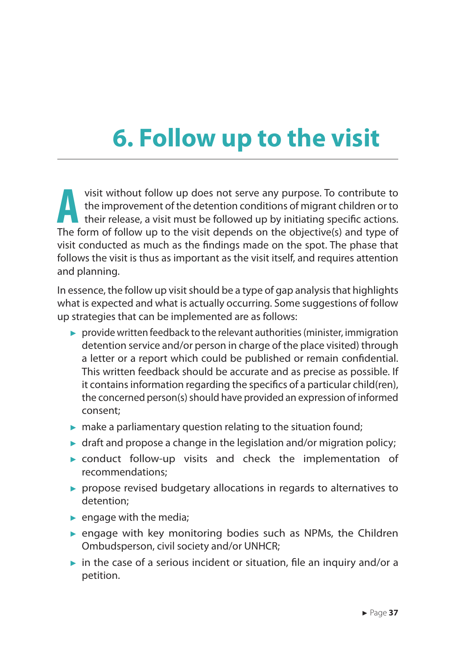## <span id="page-37-0"></span>**6. Follow up to the visit**

visit without follow up does not serve any purpose. To contribute to<br>the improvement of the detention conditions of migrant children or to<br>their release, a visit must be followed up by initiating specific actions. the improvement of the detention conditions of migrant children or to their release, a visit must be followed up by initiating specific actions. The form of follow up to the visit depends on the objective(s) and type of visit conducted as much as the findings made on the spot. The phase that follows the visit is thus as important as the visit itself, and requires attention and planning.

In essence, the follow up visit should be a type of gap analysis that highlights what is expected and what is actually occurring. Some suggestions of follow up strategies that can be implemented are as follows:

- ► provide written feedback to the relevant authorities (minister, immigration detention service and/or person in charge of the place visited) through a letter or a report which could be published or remain confidential. This written feedback should be accurate and as precise as possible. If it contains information regarding the specifics of a particular child(ren), the concerned person(s) should have provided an expression of informed consent;
- $\triangleright$  make a parliamentary question relating to the situation found;
- $\triangleright$  draft and propose a change in the legislation and/or migration policy;
- ► conduct follow-up visits and check the implementation of recommendations;
- ► propose revised budgetary allocations in regards to alternatives to detention;
- $\blacktriangleright$  engage with the media;
- $\triangleright$  engage with key monitoring bodies such as NPMs, the Children Ombudsperson, civil society and/or UNHCR;
- $\triangleright$  in the case of a serious incident or situation, file an inquiry and/or a petition.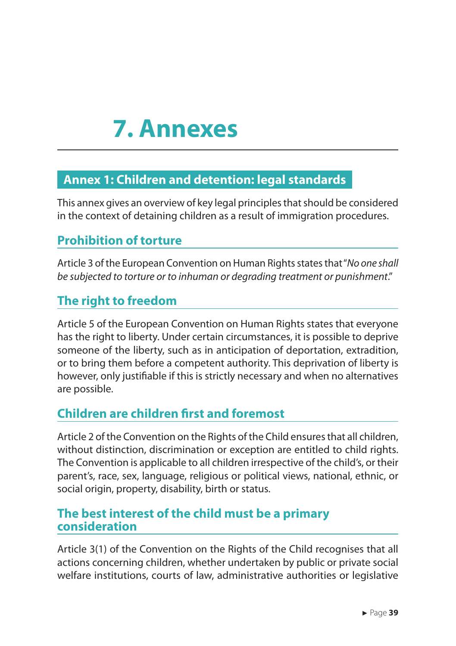### <span id="page-39-0"></span>**7. Annexes**

#### **Annex 1: Children and detention: legal standards**

This annex gives an overview of key legal principles that should be considered in the context of detaining children as a result of immigration procedures.

#### **Prohibition of torture**

Article 3 of the European Convention on Human Rights states that "*No one shall be subjected to torture or to inhuman or degrading treatment or punishment*."

#### **The right to freedom**

Article 5 of the European Convention on Human Rights states that everyone has the right to liberty. Under certain circumstances, it is possible to deprive someone of the liberty, such as in anticipation of deportation, extradition, or to bring them before a competent authority. This deprivation of liberty is however, only justifiable if this is strictly necessary and when no alternatives are possible.

#### **Children are children first and foremost**

Article 2 of the Convention on the Rights of the Child ensures that all children, without distinction, discrimination or exception are entitled to child rights. The Convention is applicable to all children irrespective of the child's, or their parent's, race, sex, language, religious or political views, national, ethnic, or social origin, property, disability, birth or status.

#### **The best interest of the child must be a primary consideration**

Article 3(1) of the Convention on the Rights of the Child recognises that all actions concerning children, whether undertaken by public or private social welfare institutions, courts of law, administrative authorities or legislative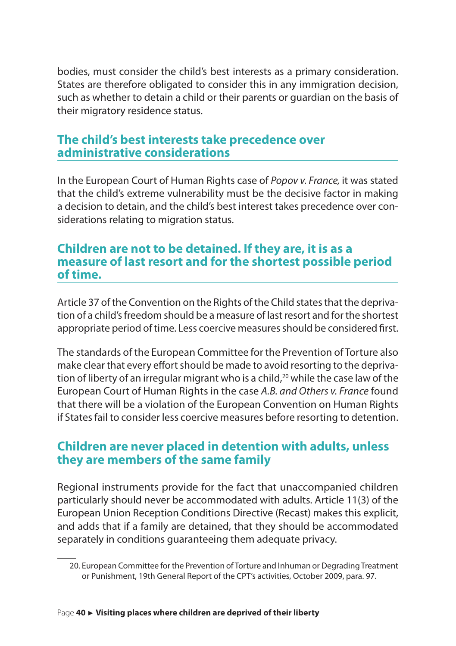bodies, must consider the child's best interests as a primary consideration. States are therefore obligated to consider this in any immigration decision, such as whether to detain a child or their parents or guardian on the basis of their migratory residence status.

#### **The child's best interests take precedence over administrative considerations**

In the European Court of Human Rights case of *Popov v. France,* it was stated that the child's extreme vulnerability must be the decisive factor in making a decision to detain, and the child's best interest takes precedence over considerations relating to migration status.

#### **Children are not to be detained. If they are, it is as a measure of last resort and for the shortest possible period of time.**

Article 37 of the Convention on the Rights of the Child states that the deprivation of a child's freedom should be a measure of last resort and for the shortest appropriate period of time. Less coercive measures should be considered first.

The standards of the European Committee for the Prevention of Torture also make clear that every effort should be made to avoid resorting to the deprivation of liberty of an irregular migrant who is a child,<sup>20</sup> while the case law of the European Court of Human Rights in the case *A.B. and Others v. France* found that there will be a violation of the European Convention on Human Rights if States fail to consider less coercive measures before resorting to detention.

#### **Children are never placed in detention with adults, unless they are members of the same family**

Regional instruments provide for the fact that unaccompanied children particularly should never be accommodated with adults. Article 11(3) of the European Union Reception Conditions Directive (Recast) makes this explicit, and adds that if a family are detained, that they should be accommodated separately in conditions guaranteeing them adequate privacy.

<sup>20.</sup> European Committee for the Prevention of Torture and Inhuman or Degrading Treatment or Punishment, 19th General Report of the CPT's activities, October 2009, para. 97.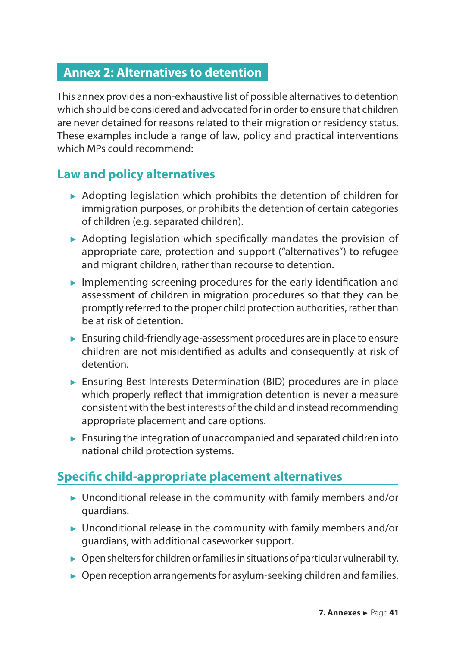#### <span id="page-41-0"></span>**Annex 2: Alternatives to detention**

This annex provides a non-exhaustive list of possible alternatives to detention which should be considered and advocated for in order to ensure that children are never detained for reasons related to their migration or residency status. These examples include a range of law, policy and practical interventions which MPs could recommend:

#### **Law and policy alternatives**

- ► Adopting legislation which prohibits the detention of children for immigration purposes, or prohibits the detention of certain categories of children (e.g. separated children).
- ► Adopting legislation which specifically mandates the provision of appropriate care, protection and support ("alternatives") to refugee and migrant children, rather than recourse to detention.
- $\blacktriangleright$  Implementing screening procedures for the early identification and assessment of children in migration procedures so that they can be promptly referred to the proper child protection authorities, rather than be at risk of detention.
- ► Ensuring child-friendly age-assessment procedures are in place to ensure children are not misidentified as adults and consequently at risk of detention.
- ► Ensuring Best Interests Determination (BID) procedures are in place which properly reflect that immigration detention is never a measure consistent with the best interests of the child and instead recommending appropriate placement and care options.
- $\blacktriangleright$  Ensuring the integration of unaccompanied and separated children into national child protection systems.

#### **Specific child-appropriate placement alternatives**

- ► Unconditional release in the community with family members and/or guardians.
- ► Unconditional release in the community with family members and/or guardians, with additional caseworker support.
- $\triangleright$  Open shelters for children or families in situations of particular vulnerability.
- ► Open reception arrangements for asylum-seeking children and families.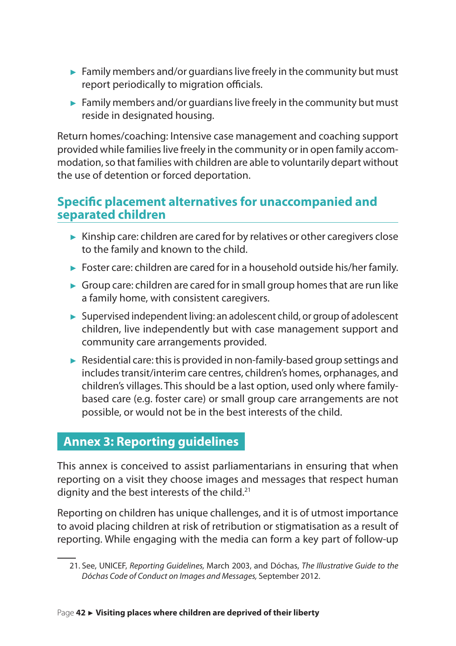- <span id="page-42-0"></span> $\blacktriangleright$  Family members and/or guardians live freely in the community but must report periodically to migration officials.
- $\blacktriangleright$  Family members and/or quardians live freely in the community but must reside in designated housing.

Return homes/coaching: Intensive case management and coaching support provided while families live freely in the community or in open family accommodation, so that families with children are able to voluntarily depart without the use of detention or forced deportation.

#### **Specific placement alternatives for unaccompanied and separated children**

- ► Kinship care: children are cared for by relatives or other caregivers close to the family and known to the child.
- ► Foster care: children are cared for in a household outside his/her family.
- ► Group care: children are cared for in small group homes that are run like a family home, with consistent caregivers.
- ► Supervised independent living: an adolescent child, or group of adolescent children, live independently but with case management support and community care arrangements provided.
- ► Residential care: this is provided in non-family-based group settings and includes transit/interim care centres, children's homes, orphanages, and children's villages. This should be a last option, used only where familybased care (e.g. foster care) or small group care arrangements are not possible, or would not be in the best interests of the child.

#### **Annex 3: Reporting guidelines**

This annex is conceived to assist parliamentarians in ensuring that when reporting on a visit they choose images and messages that respect human dignity and the best interests of the child.<sup>21</sup>

Reporting on children has unique challenges, and it is of utmost importance to avoid placing children at risk of retribution or stigmatisation as a result of reporting. While engaging with the media can form a key part of follow-up

<sup>21.</sup> See, UNICEF, *Reporting Guidelines,* March 2003, and Dóchas, *The Illustrative Guide to the Dóchas Code of Conduct on Images and Messages,* September 2012.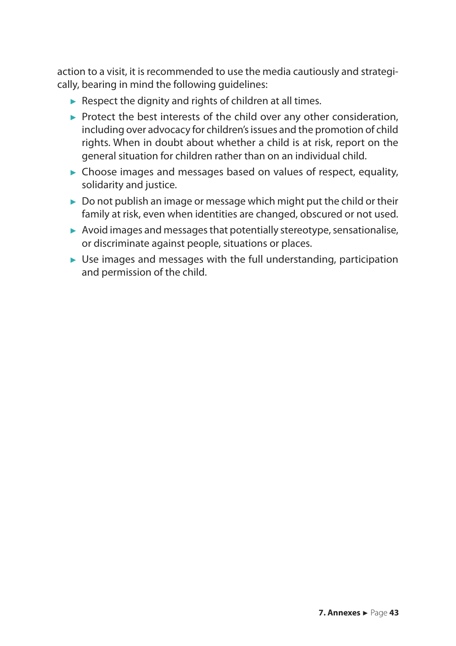action to a visit, it is recommended to use the media cautiously and strategically, bearing in mind the following guidelines:

- $\blacktriangleright$  Respect the dignity and rights of children at all times.
- ► Protect the best interests of the child over any other consideration, including over advocacy for children's issues and the promotion of child rights. When in doubt about whether a child is at risk, report on the general situation for children rather than on an individual child.
- ► Choose images and messages based on values of respect, equality, solidarity and justice.
- $\triangleright$  Do not publish an image or message which might put the child or their family at risk, even when identities are changed, obscured or not used.
- ► Avoid images and messages that potentially stereotype, sensationalise, or discriminate against people, situations or places.
- ► Use images and messages with the full understanding, participation and permission of the child.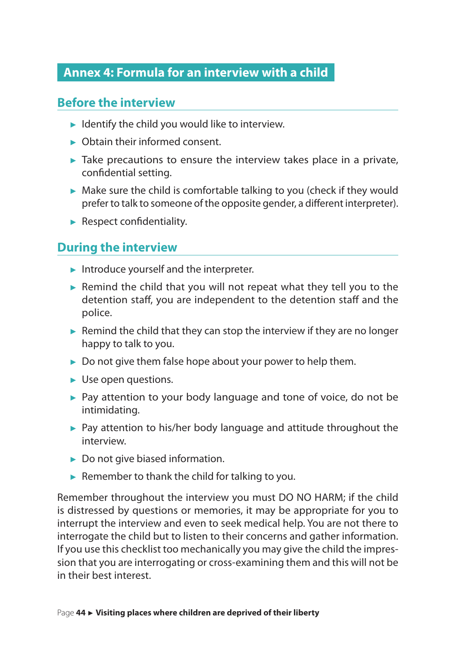#### <span id="page-44-0"></span>**Annex 4: Formula for an interview with a child**

#### **Before the interview**

- $\blacktriangleright$  Identify the child you would like to interview.
- ► Obtain their informed consent.
- $\blacktriangleright$  Take precautions to ensure the interview takes place in a private, confidential setting.
- ► Make sure the child is comfortable talking to you (check if they would prefer to talk to someone of the opposite gender, a different interpreter).
- ► Respect confidentiality.

#### **During the interview**

- ► Introduce yourself and the interpreter.
- $\blacktriangleright$  Remind the child that you will not repeat what they tell you to the detention staff, you are independent to the detention staff and the police.
- $\blacktriangleright$  Remind the child that they can stop the interview if they are no longer happy to talk to you.
- ► Do not give them false hope about your power to help them.
- ► Use open questions.
- ► Pay attention to your body language and tone of voice, do not be intimidating.
- ► Pay attention to his/her body language and attitude throughout the interview.
- ► Do not give biased information.
- $\blacktriangleright$  Remember to thank the child for talking to you.

Remember throughout the interview you must DO NO HARM; if the child is distressed by questions or memories, it may be appropriate for you to interrupt the interview and even to seek medical help. You are not there to interrogate the child but to listen to their concerns and gather information. If you use this checklist too mechanically you may give the child the impression that you are interrogating or cross-examining them and this will not be in their best interest.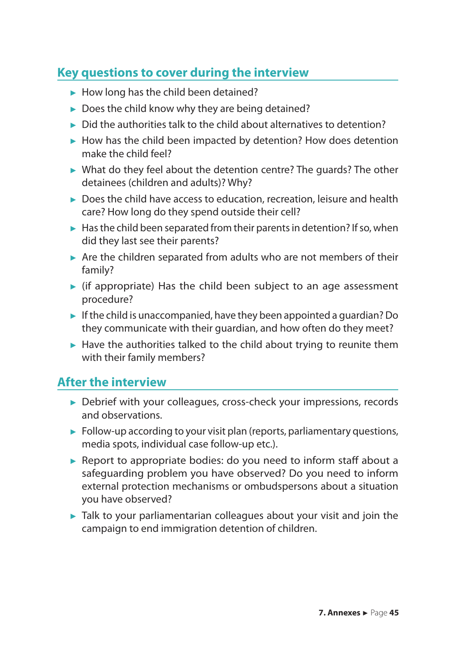#### **Key questions to cover during the interview**

- ► How long has the child been detained?
- $\triangleright$  Does the child know why they are being detained?
- ► Did the authorities talk to the child about alternatives to detention?
- ► How has the child been impacted by detention? How does detention make the child feel?
- ► What do they feel about the detention centre? The guards? The other detainees (children and adults)? Why?
- ► Does the child have access to education, recreation, leisure and health care? How long do they spend outside their cell?
- $\blacktriangleright$  Has the child been separated from their parents in detention? If so, when did they last see their parents?
- ► Are the children separated from adults who are not members of their family?
- ► (if appropriate) Has the child been subject to an age assessment procedure?
- $\blacktriangleright$  If the child is unaccompanied, have they been appointed a quardian? Do they communicate with their guardian, and how often do they meet?
- ► Have the authorities talked to the child about trying to reunite them with their family members?

#### **After the interview**

- ► Debrief with your colleagues, cross-check your impressions, records and observations.
- $\blacktriangleright$  Follow-up according to your visit plan (reports, parliamentary questions, media spots, individual case follow-up etc.).
- ► Report to appropriate bodies: do you need to inform staff about a safeguarding problem you have observed? Do you need to inform external protection mechanisms or ombudspersons about a situation you have observed?
- ► Talk to your parliamentarian colleagues about your visit and join the campaign to end immigration detention of children.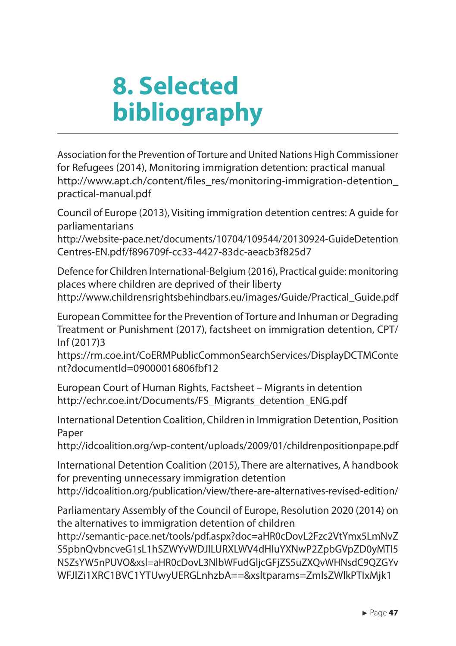## <span id="page-47-0"></span>**8. Selected bibliography**

Association for the Prevention of Torture and United Nations High Commissioner for Refugees (2014), Monitoring immigration detention: practical manual http://www.apt.ch/content/files\_res/monitoring-immigration-detention practical-manual.pdf

Council of Europe (2013), Visiting immigration detention centres: A guide for parliamentarians

http://website-pace.net/documents/10704/109544/20130924-GuideDetention Centres-EN.pdf/f896709f-cc33-4427-83dc-aeacb3f825d7

Defence for Children International-Belgium (2016), Practical guide: monitoring places where children are deprived of their liberty http://www.childrensrightsbehindbars.eu/images/Guide/Practical\_Guide.pdf

European Committee for the Prevention of Torture and Inhuman or Degrading Treatment or Punishment (2017), factsheet on immigration detention, CPT/ Inf (2017)3

https://rm.coe.int/CoERMPublicCommonSearchServices/DisplayDCTMConte nt?documentId=09000016806fbf12

European Court of Human Rights, Factsheet – Migrants in detention http://echr.coe.int/Documents/FS\_Migrants\_detention\_ENG.pdf

International Detention Coalition, Children in Immigration Detention, Position Paper

http://idcoalition.org/wp-content/uploads/2009/01/childrenpositionpape.pdf

International Detention Coalition (2015), There are alternatives, A handbook for preventing unnecessary immigration detention http://idcoalition.org/publication/view/there-are-alternatives-revised-edition/

Parliamentary Assembly of the Council of Europe, Resolution 2020 (2014) on the alternatives to immigration detention of children

http://semantic-pace.net/tools/pdf.aspx?doc=aHR0cDovL2Fzc2VtYmx5LmNvZ S5pbnQvbncveG1sL1hSZWYvWDJILURXLWV4dHIuYXNwP2ZpbGVpZD0yMTI5 NSZsYW5nPUVO&xsl=aHR0cDovL3NlbWFudGljcGFjZS5uZXQvWHNsdC9QZGYv WFJlZi1XRC1BVC1YTUwyUERGLnhzbA==&xsltparams=ZmlsZWlkPTIxMjk1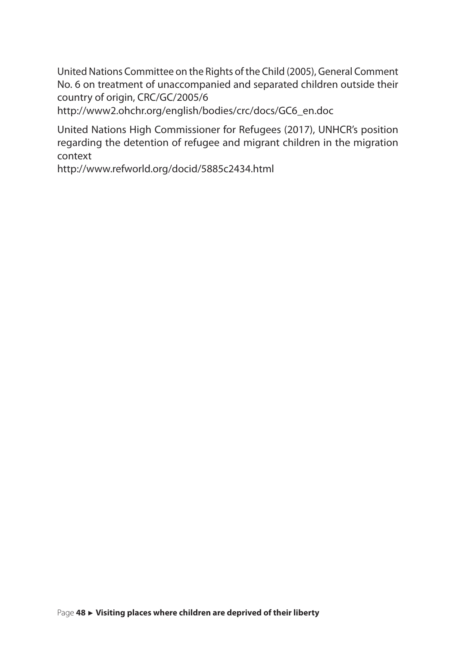United Nations Committee on the Rights of the Child (2005), General Comment No. 6 on treatment of unaccompanied and separated children outside their country of origin, CRC/GC/2005/6

http://www2.ohchr.org/english/bodies/crc/docs/GC6\_en.doc

United Nations High Commissioner for Refugees (2017), UNHCR's position regarding the detention of refugee and migrant children in the migration context

http://www.refworld.org/docid/5885c2434.html